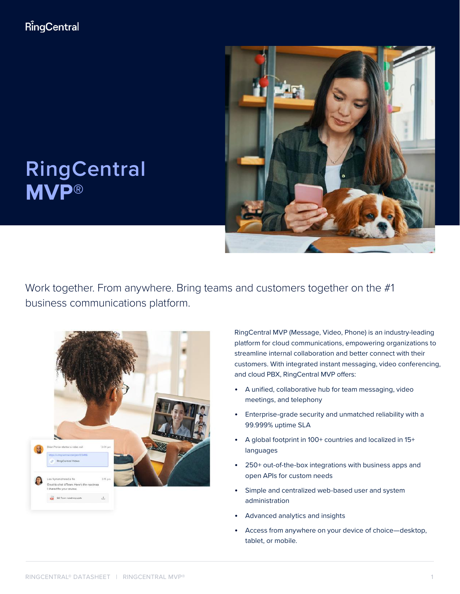

# **RingCentral MVP®**

Work together. From anywhere. Bring teams and customers together on the #1 business communications platform.



RingCentral MVP (Message, Video, Phone) is an industry-leading platform for cloud communications, empowering organizations to streamline internal collaboration and better connect with their customers. With integrated instant messaging, video conferencing, and cloud PBX, RingCentral MVP offers:

- A unified, collaborative hub for team messaging, video meetings, and telephony
- Enterprise-grade security and unmatched reliability with a 99.999% uptime SLA
- A global footprint in 100+ countries and localized in 15+ languages
- 250+ out-of-the-box integrations with business apps and open APIs for custom needs
- Simple and centralized web-based user and system administration
- Advanced analytics and insights
- Access from anywhere on your device of choice—desktop, tablet, or mobile.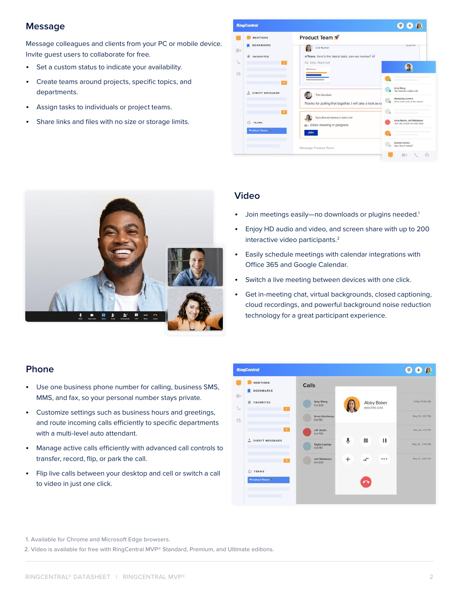#### **Message**

Message colleagues and clients from your PC or mobile device. Invite guest users to collaborate for free.

- Set a custom status to indicate your availability.
- Create teams around projects, specific topics, and departments.
- Assign tasks to individuals or project teams.
- Share links and files with no size or storage limits.





#### **Video**

- Join meetings easily—no downloads or plugins needed.<sup>1</sup>
- Enjoy HD audio and video, and screen share with up to 200 interactive video participants.<sup>2</sup>
- Easily schedule meetings with calendar integrations with Office 365 and Google Calendar.
- Switch a live meeting between devices with one click.
- Get in-meeting chat, virtual backgrounds, closed captioning, cloud recordings, and powerful background noise reduction technology for a great participant experience.

#### **Phone**

- Use one business phone number for calling, business SMS, MMS, and fax, so your personal number stays private.
- Customize settings such as business hours and greetings, and route incoming calls efficiently to specific departments with a multi-level auto attendant.
- Manage active calls efficiently with advanced call controls to transfer, record, flip, or park the call.
- Flip live calls between your desktop and cell or switch a call to video in just one click.



1. Available for Chrome and Microsoft Edge browsers.

2. Video is available for free with RingCentral MVP® Standard, Premium, and Ultimate editions.